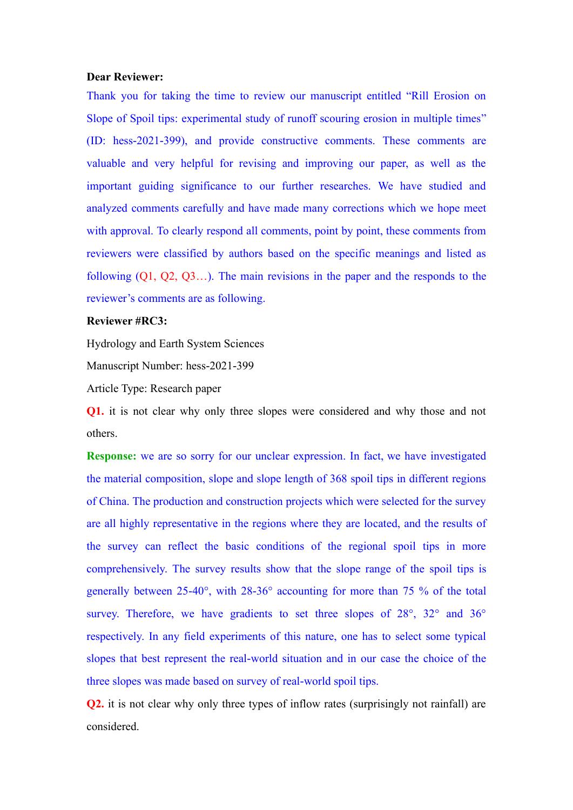## **Dear Reviewer:**

Thank you for taking the time to review our manuscript entitled "Rill Erosion on Slope of Spoil tips: experimental study of runoff scouring erosion in multiple times" (ID: hess-2021-399), and provide constructive comments. These comments are valuable and very helpful for revising and improving our paper, as well as the important guiding significance to our further researches. We have studied and analyzed comments carefully and have made many corrections which we hope meet with approval. To clearly respond all comments, point by point, these comments from reviewers were classified by authors based on the specific meanings and listed as following (Q1, Q2, Q3…). The main revisions in the paper and the responds to the reviewer's comments are as following.

## **Reviewer #RC3:**

Hydrology and Earth System Sciences

Manuscript Number: hess-2021-399

Article Type: Research paper

**Q1.** it is not clear why only three slopes were considered and why those and not others.

**Response:** we are so sorry for our unclear expression. In fact, we have investigated the material composition, slope and slope length of 368 spoil tips in different regions of China. The production and construction projects which were selected for the survey are all highly representative in the regions where they are located, and the results of the survey can reflect the basic conditions of the regional spoil tips in more comprehensively. The survey results show that the slope range of the spoil tips is generally between 25-40°, with 28-36° accounting for more than 75 % of the total survey. Therefore, we have gradients to set three slopes of 28°, 32° and 36° respectively. In any field experiments of this nature, one has to select some typical slopes that best represent the real-world situation and in our case the choice of the three slopes was made based on survey of real-world spoil tips.

**Q2.** it is not clear why only three types of inflow rates (surprisingly not rainfall) are considered.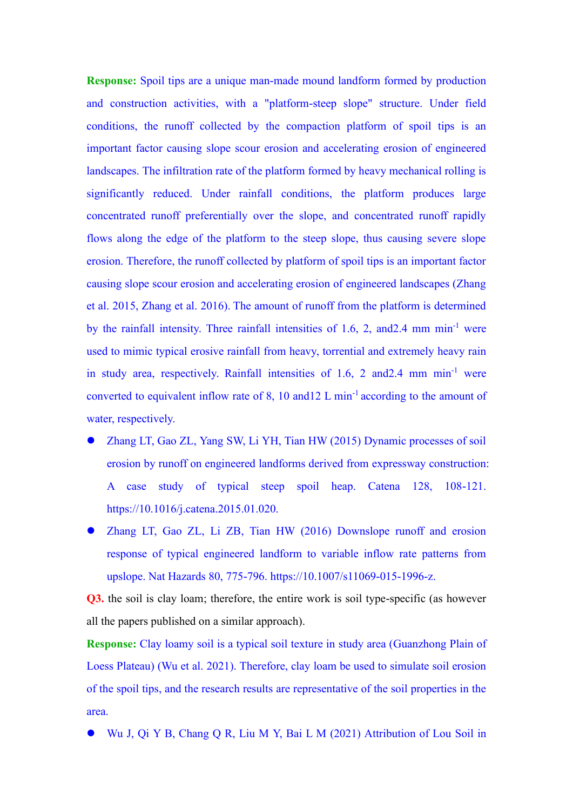**Response:** Spoil tips are a unique man-made mound landform formed by production and construction activities, with a "platform-steep slope" structure. Under field conditions, the runoff collected by the compaction platform of spoil tips is an important factor causing slope scour erosion and accelerating erosion of engineered landscapes. The infiltration rate of the platform formed by heavy mechanical rolling is significantly reduced. Under rainfall conditions, the platform produces large concentrated runoff preferentially over the slope, and concentrated runoff rapidly flows along the edge of the platform to the steep slope, thus causing severe slope erosion. Therefore, the runoff collected by platform of spoil tips is an important factor causing slope scour erosion and accelerating erosion of engineered landscapes (Zhang et al. 2015, Zhang et al. 2016). The amount of runoff from the platform is determined by the rainfall intensity. Three rainfall intensities of 1.6, 2, and2.4 mm min-1 were used to mimic typical erosive rainfall from heavy, torrential and extremely heavy rain in study area, respectively. Rainfall intensities of 1.6, 2 and 2.4 mm min<sup>-1</sup> were converted to equivalent inflow rate of 8, 10 and 12 L min<sup>-1</sup> according to the amount of water, respectively.

- ⚫ Zhang LT, Gao ZL, Yang SW, Li YH, Tian HW (2015) Dynamic processes of soil erosion by runoff on engineered landforms derived from expressway construction: A case study of typical steep spoil heap. Catena 128, 108-121. https://10.1016/j.catena.2015.01.020.
- ⚫ Zhang LT, Gao ZL, Li ZB, Tian HW (2016) Downslope runoff and erosion response of typical engineered landform to variable inflow rate patterns from upslope. Nat Hazards 80, 775-796. https://10.1007/s11069-015-1996-z.

**Q3.** the soil is clay loam; therefore, the entire work is soil type-specific (as however all the papers published on a similar approach).

**Response:** Clay loamy soil is a typical soil texture in study area (Guanzhong Plain of Loess Plateau) (Wu et al. 2021). Therefore, clay loam be used to simulate soil erosion of the spoil tips, and the research results are representative of the soil properties in the area.

⚫ Wu J, Qi Y B, Chang Q R, Liu M Y, Bai L M (2021) Attribution of Lou Soil in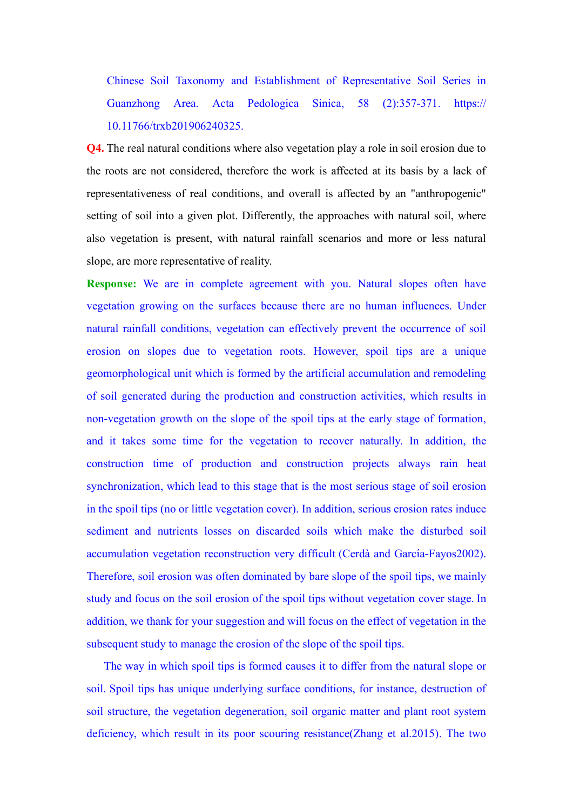Chinese Soil Taxonomy and Establishment of Representative Soil Series in Guanzhong Area. Acta Pedologica Sinica, 58 (2):357-371. https:// 10.11766/trxb201906240325.

**Q4.** The real natural conditions where also vegetation play a role in soil erosion due to the roots are not considered, therefore the work is affected at its basis by a lack of representativeness of real conditions, and overall is affected by an "anthropogenic" setting of soil into a given plot. Differently, the approaches with natural soil, where also vegetation is present, with natural rainfall scenarios and more or less natural slope, are more representative of reality.

**Response:** We are in complete agreement with you. Natural slopes often have vegetation growing on the surfaces because there are no human influences. Under natural rainfall conditions, vegetation can effectively prevent the occurrence of soil erosion on slopes due to vegetation roots. However, spoil tips are a unique geomorphological unit which is formed by the artificial accumulation and remodeling of soil generated during the production and construction activities, which results in non-vegetation growth on the slope of the spoil tips at the early stage of formation, and it takes some time for the vegetation to recover naturally. In addition, the construction time of production and construction projects always rain heat synchronization, which lead to this stage that is the most serious stage of soil erosion in the spoil tips (no or little vegetation cover). In addition, serious erosion rates induce sediment and nutrients losses on discarded soils which make the disturbed soil accumulation vegetation reconstruction very difficult (Cerdà and García-Fayos2002). Therefore, soil erosion was often dominated by bare slope of the spoil tips, we mainly study and focus on the soil erosion of the spoil tips without vegetation cover stage. In addition, we thank for your suggestion and will focus on the effect of vegetation in the subsequent study to manage the erosion of the slope of the spoil tips.

 The way in which spoil tips is formed causes it to differ from the natural slope or soil. Spoil tips has unique underlying surface conditions, for instance, destruction of soil structure, the vegetation degeneration, soil organic matter and plant root system deficiency, which result in its poor scouring resistance(Zhang et al.2015). The two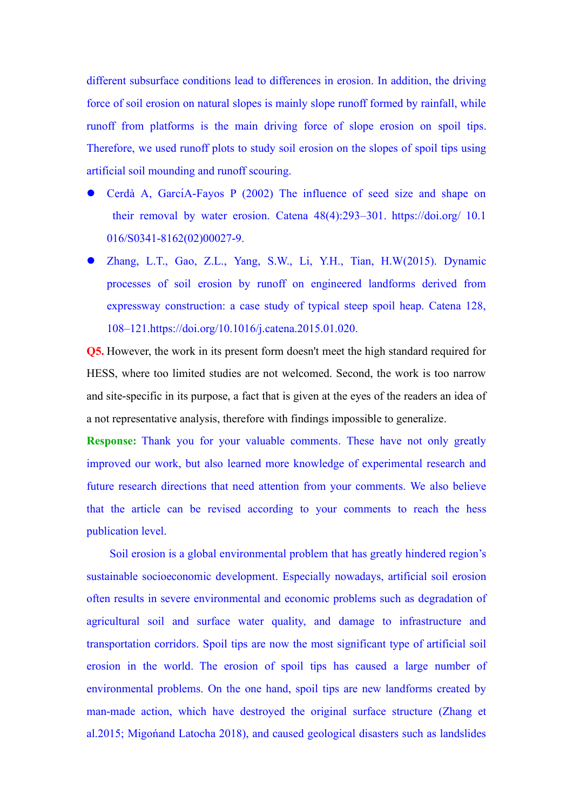different subsurface conditions lead to differences in erosion. In addition, the driving force of soil erosion on natural slopes is mainly slope runoff formed by rainfall, while runoff from platforms is the main driving force of slope erosion on spoil tips. Therefore, we used runoff plots to study soil erosion on the slopes of spoil tips using artificial soil mounding and runoff scouring.

- Cerdà A, GarcíA-Fayos P (2002) The influence of seed size and shape on their removal by water erosion. Catena 48(4):293–301. https://doi.org/ 10.1 016/S0341-8162(02)00027-9.
- Zhang, L.T., Gao, Z.L., Yang, S.W., Li, Y.H., Tian, H.W(2015). Dynamic processes of soil erosion by runoff on engineered landforms derived from expressway construction: a case study of typical steep spoil heap. Catena 128, 108–121.https://doi.org/10.1016/j.catena.2015.01.020.

**Q5.** However, the work in its present form doesn't meet the high standard required for HESS, where too limited studies are not welcomed. Second, the work is too narrow and site-specific in its purpose, a fact that is given at the eyes of the readers an idea of a not representative analysis, therefore with findings impossible to generalize.

**Response:** Thank you for your valuable comments. These have not only greatly improved our work, but also learned more knowledge of experimental research and future research directions that need attention from your comments. We also believe that the article can be revised according to your comments to reach the hess publication level.

Soil erosion is a global environmental problem that has greatly hindered region's sustainable socioeconomic development. Especially nowadays, artificial soil erosion often results in severe environmental and economic problems such as degradation of agricultural soil and surface water quality, and damage to infrastructure and transportation corridors. Spoil tips are now the most significant type of artificial soil erosion in the world. The erosion of spoil tips has caused a large number of environmental problems. On the one hand, spoil tips are new landforms created by man-made action, which have destroyed the original surface structure (Zhang et al.2015; Migońand Latocha 2018), and caused geological disasters such as landslides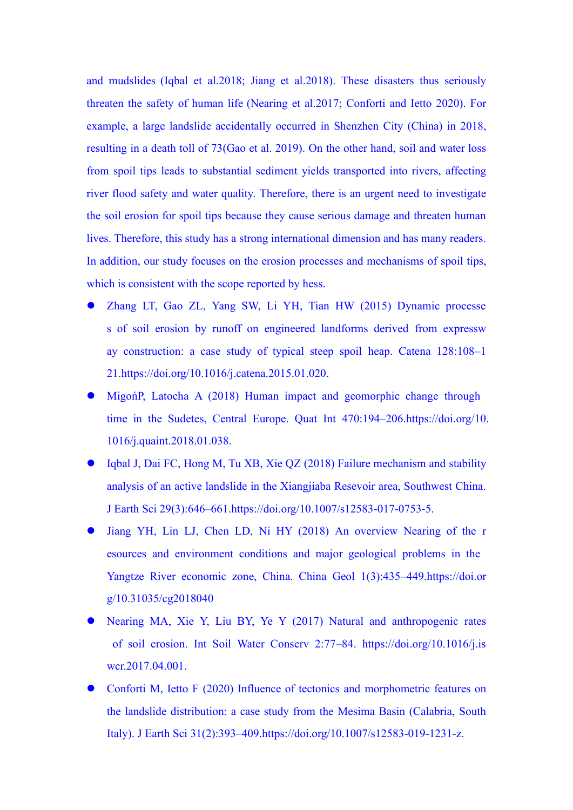and mudslides (Iqbal et al.2018; Jiang et al.2018). These disasters thus seriously threaten the safety of human life (Nearing et al.2017; Conforti and Ietto 2020). For example, a large landslide accidentally occurred in Shenzhen City (China) in 2018, resulting in a death toll of 73(Gao et al. 2019). On the other hand, soil and water loss from spoil tips leads to substantial sediment yields transported into rivers, affecting river flood safety and water quality. Therefore, there is an urgent need to investigate the soil erosion for spoil tips because they cause serious damage and threaten human lives. Therefore, this study has a strong international dimension and has many readers. In addition, our study focuses on the erosion processes and mechanisms of spoil tips, which is consistent with the scope reported by hess.

- ⚫ Zhang LT, Gao ZL, Yang SW, Li YH, Tian HW (2015) Dynamic processe s of soil erosion by runoff on engineered landforms derived from expressw ay construction: a case study of typical steep spoil heap. Catena 128:108–1 21.https://doi.org/10.1016/j.catena.2015.01.020.
- MigońP, Latocha A (2018) Human impact and geomorphic change through time in the Sudetes, Central Europe. Quat Int 470:194–206.https://doi.org/10. 1016/j.quaint.2018.01.038.
- ⚫ Iqbal J, Dai FC, Hong M, Tu XB, Xie QZ (2018) Failure mechanism and stability analysis of an active landslide in the Xiangjiaba Resevoir area, Southwest China. J Earth Sci 29(3):646–661.https://doi.org/10.1007/s12583-017-0753-5.
- ⚫ Jiang YH, Lin LJ, Chen LD, Ni HY (2018) An overview Nearing of the r esources and environment conditions and major geological problems in the Yangtze River economic zone, China. China Geol 1(3):435–449.https://doi.or g/10.31035/cg2018040
- ⚫ Nearing MA, Xie Y, Liu BY, Ye Y (2017) Natural and anthropogenic rates of soil erosion. Int Soil Water Conserv 2:77–84. https://doi.org/10.1016/j.is wcr.2017.04.001.
- ⚫ Conforti M, Ietto F (2020) Influence of tectonics and morphometric features on the landslide distribution: a case study from the Mesima Basin (Calabria, South Italy). J Earth Sci 31(2):393–409.https://doi.org/10.1007/s12583-019-1231-z.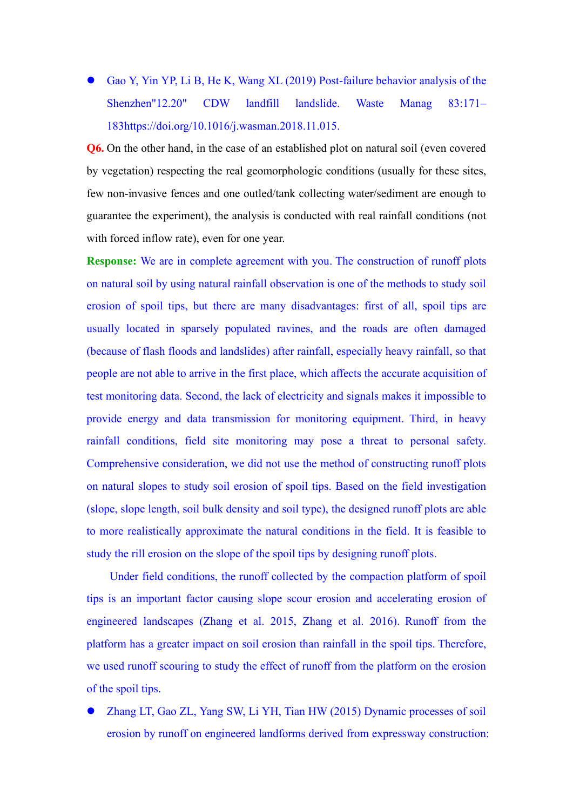⚫ Gao Y, Yin YP, Li B, He K, Wang XL (2019) Post-failure behavior analysis of the Shenzhen"12.20" CDW landfill landslide. Waste Manag 83:171– 183https://doi.org/10.1016/j.wasman.2018.11.015.

**Q6.** On the other hand, in the case of an established plot on natural soil (even covered by vegetation) respecting the real geomorphologic conditions (usually for these sites, few non-invasive fences and one outled/tank collecting water/sediment are enough to guarantee the experiment), the analysis is conducted with real rainfall conditions (not with forced inflow rate), even for one year.

**Response:** We are in complete agreement with you. The construction of runoff plots on natural soil by using natural rainfall observation is one of the methods to study soil erosion of spoil tips, but there are many disadvantages: first of all, spoil tips are usually located in sparsely populated ravines, and the roads are often damaged (because of flash floods and landslides) after rainfall, especially heavy rainfall, so that people are not able to arrive in the first place, which affects the accurate acquisition of test monitoring data. Second, the lack of electricity and signals makes it impossible to provide energy and data transmission for monitoring equipment. Third, in heavy rainfall conditions, field site monitoring may pose a threat to personal safety. Comprehensive consideration, we did not use the method of constructing runoff plots on natural slopes to study soil erosion of spoil tips. Based on the field investigation (slope, slope length, soil bulk density and soil type), the designed runoff plots are able to more realistically approximate the natural conditions in the field. It is feasible to study the rill erosion on the slope of the spoil tips by designing runoff plots.

Under field conditions, the runoff collected by the compaction platform of spoil tips is an important factor causing slope scour erosion and accelerating erosion of engineered landscapes (Zhang et al. 2015, Zhang et al. 2016). Runoff from the platform has a greater impact on soil erosion than rainfall in the spoil tips. Therefore, we used runoff scouring to study the effect of runoff from the platform on the erosion of the spoil tips.

⚫ Zhang LT, Gao ZL, Yang SW, Li YH, Tian HW (2015) Dynamic processes of soil erosion by runoff on engineered landforms derived from expressway construction: